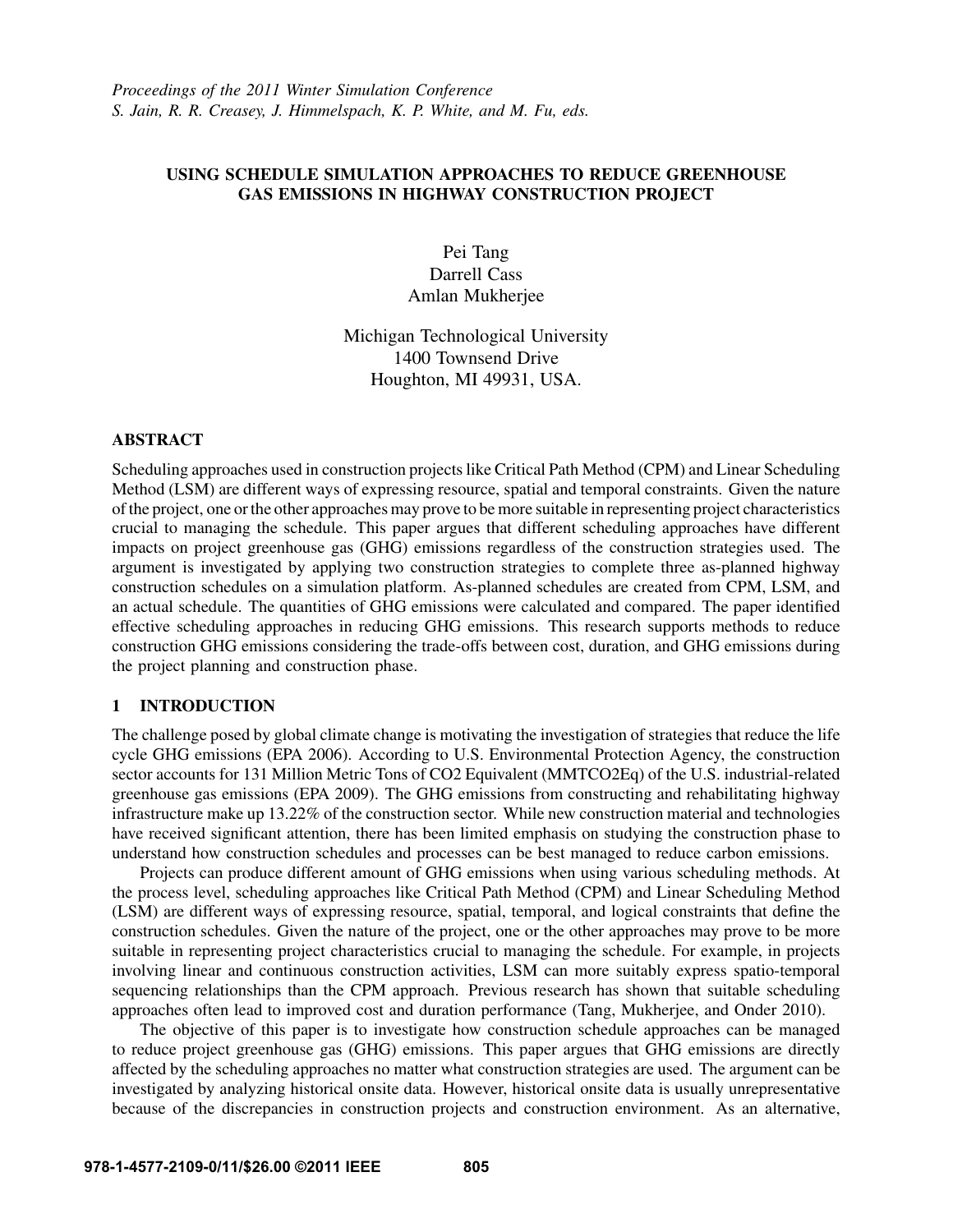# USING SCHEDULE SIMULATION APPROACHES TO REDUCE GREENHOUSE GAS EMISSIONS IN HIGHWAY CONSTRUCTION PROJECT

Pei Tang Darrell Cass Amlan Mukherjee

Michigan Technological University 1400 Townsend Drive Houghton, MI 49931, USA.

# **ABSTRACT**

Scheduling approaches used in construction projects like Critical Path Method (CPM) and Linear Scheduling Method (LSM) are different ways of expressing resource, spatial and temporal constraints. Given the nature of the project, one or the other approaches may prove to be more suitable in representing project characteristics crucial to managing the schedule. This paper argues that different scheduling approaches have different impacts on project greenhouse gas (GHG) emissions regardless of the construction strategies used. The argument is investigated by applying two construction strategies to complete three as-planned highway construction schedules on a simulation platform. As-planned schedules are created from CPM, LSM, and an actual schedule. The quantities of GHG emissions were calculated and compared. The paper identified effective scheduling approaches in reducing GHG emissions. This research supports methods to reduce construction GHG emissions considering the trade-offs between cost, duration, and GHG emissions during the project planning and construction phase.

# 1 INTRODUCTION

The challenge posed by global climate change is motivating the investigation of strategies that reduce the life cycle GHG emissions (EPA 2006). According to U.S. Environmental Protection Agency, the construction sector accounts for 131 Million Metric Tons of CO2 Equivalent (MMTCO2Eq) of the U.S. industrial-related greenhouse gas emissions (EPA 2009). The GHG emissions from constructing and rehabilitating highway infrastructure make up 13.22% of the construction sector. While new construction material and technologies have received significant attention, there has been limited emphasis on studying the construction phase to understand how construction schedules and processes can be best managed to reduce carbon emissions.

Projects can produce different amount of GHG emissions when using various scheduling methods. At the process level, scheduling approaches like Critical Path Method (CPM) and Linear Scheduling Method (LSM) are different ways of expressing resource, spatial, temporal, and logical constraints that define the construction schedules. Given the nature of the project, one or the other approaches may prove to be more suitable in representing project characteristics crucial to managing the schedule. For example, in projects involving linear and continuous construction activities, LSM can more suitably express spatio-temporal sequencing relationships than the CPM approach. Previous research has shown that suitable scheduling approaches often lead to improved cost and duration performance (Tang, Mukherjee, and Onder 2010).

The objective of this paper is to investigate how construction schedule approaches can be managed to reduce project greenhouse gas (GHG) emissions. This paper argues that GHG emissions are directly affected by the scheduling approaches no matter what construction strategies are used. The argument can be investigated by analyzing historical onsite data. However, historical onsite data is usually unrepresentative because of the discrepancies in construction projects and construction environment. As an alternative,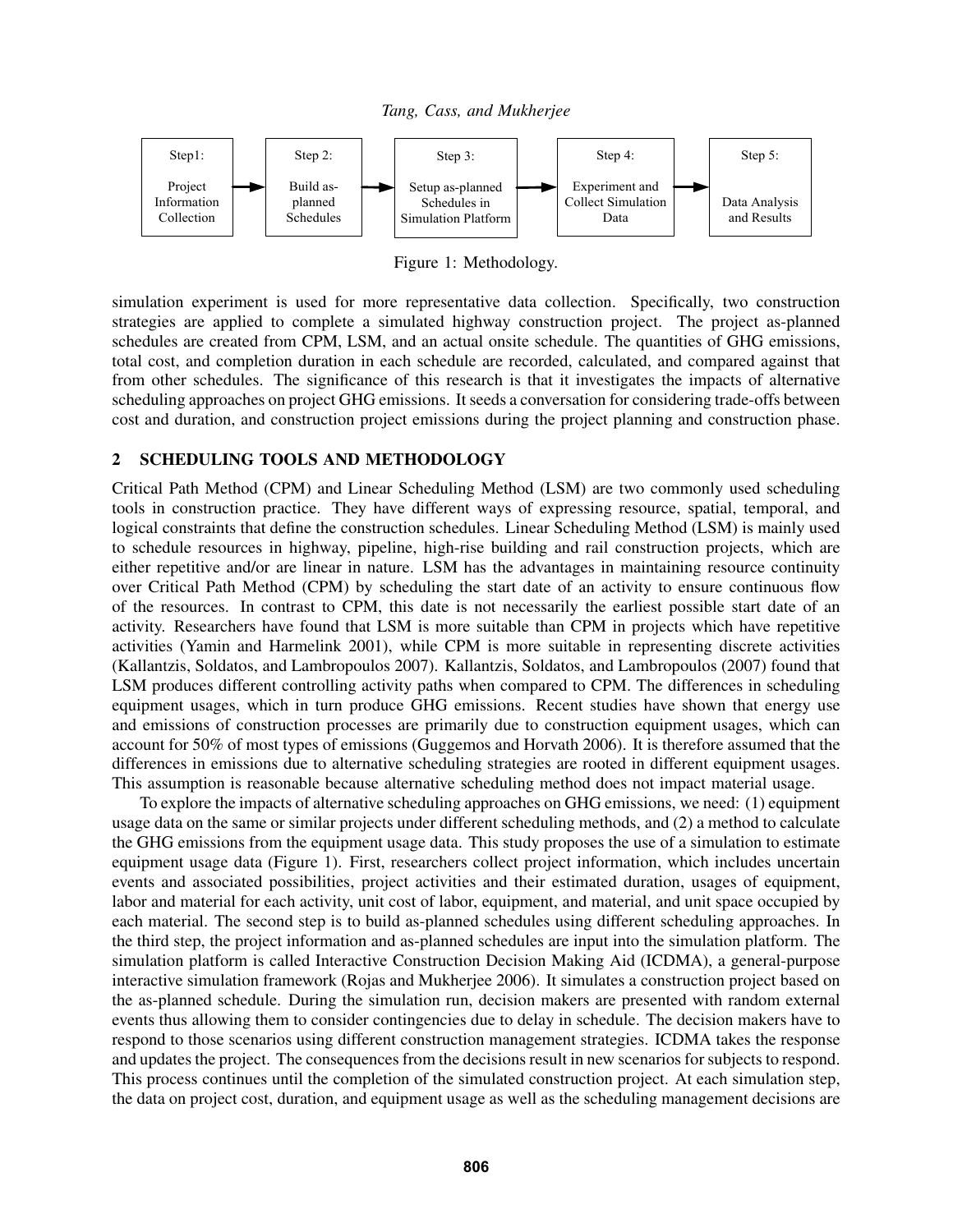*Tang, Cass, and Mukherjee*



Figure 1: Methodology.

simulation experiment is used for more representative data collection. Specifically, two construction strategies are applied to complete a simulated highway construction project. The project as-planned schedules are created from CPM, LSM, and an actual onsite schedule. The quantities of GHG emissions, total cost, and completion duration in each schedule are recorded, calculated, and compared against that from other schedules. The significance of this research is that it investigates the impacts of alternative scheduling approaches on project GHG emissions. It seeds a conversation for considering trade-offs between cost and duration, and construction project emissions during the project planning and construction phase.

# 2 SCHEDULING TOOLS AND METHODOLOGY

Critical Path Method (CPM) and Linear Scheduling Method (LSM) are two commonly used scheduling tools in construction practice. They have different ways of expressing resource, spatial, temporal, and logical constraints that define the construction schedules. Linear Scheduling Method (LSM) is mainly used to schedule resources in highway, pipeline, high-rise building and rail construction projects, which are either repetitive and/or are linear in nature. LSM has the advantages in maintaining resource continuity over Critical Path Method (CPM) by scheduling the start date of an activity to ensure continuous flow of the resources. In contrast to CPM, this date is not necessarily the earliest possible start date of an activity. Researchers have found that LSM is more suitable than CPM in projects which have repetitive activities (Yamin and Harmelink 2001), while CPM is more suitable in representing discrete activities (Kallantzis, Soldatos, and Lambropoulos 2007). Kallantzis, Soldatos, and Lambropoulos (2007) found that LSM produces different controlling activity paths when compared to CPM. The differences in scheduling equipment usages, which in turn produce GHG emissions. Recent studies have shown that energy use and emissions of construction processes are primarily due to construction equipment usages, which can account for 50% of most types of emissions (Guggemos and Horvath 2006). It is therefore assumed that the differences in emissions due to alternative scheduling strategies are rooted in different equipment usages. This assumption is reasonable because alternative scheduling method does not impact material usage.

To explore the impacts of alternative scheduling approaches on GHG emissions, we need: (1) equipment usage data on the same or similar projects under different scheduling methods, and (2) a method to calculate the GHG emissions from the equipment usage data. This study proposes the use of a simulation to estimate equipment usage data (Figure 1). First, researchers collect project information, which includes uncertain events and associated possibilities, project activities and their estimated duration, usages of equipment, labor and material for each activity, unit cost of labor, equipment, and material, and unit space occupied by each material. The second step is to build as-planned schedules using different scheduling approaches. In the third step, the project information and as-planned schedules are input into the simulation platform. The simulation platform is called Interactive Construction Decision Making Aid (ICDMA), a general-purpose interactive simulation framework (Rojas and Mukherjee 2006). It simulates a construction project based on the as-planned schedule. During the simulation run, decision makers are presented with random external events thus allowing them to consider contingencies due to delay in schedule. The decision makers have to respond to those scenarios using different construction management strategies. ICDMA takes the response and updates the project. The consequences from the decisions result in new scenarios for subjects to respond. This process continues until the completion of the simulated construction project. At each simulation step, the data on project cost, duration, and equipment usage as well as the scheduling management decisions are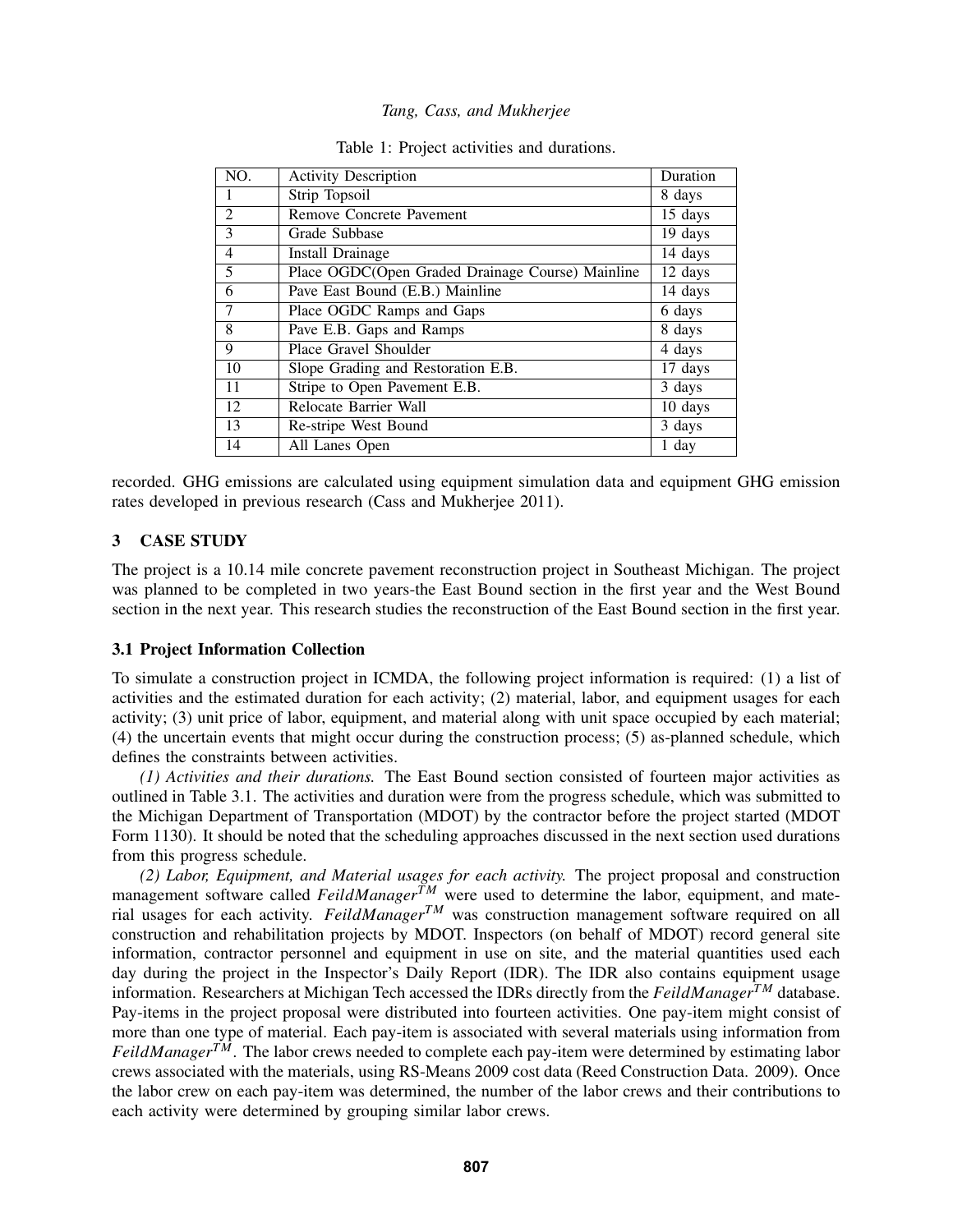| NO.            | <b>Activity Description</b>                      | Duration |
|----------------|--------------------------------------------------|----------|
|                | Strip Topsoil                                    | 8 days   |
| 2              | Remove Concrete Pavement                         | 15 days  |
| 3              | Grade Subbase                                    | 19 days  |
| $\overline{4}$ | <b>Install Drainage</b>                          | 14 days  |
| 5              | Place OGDC(Open Graded Drainage Course) Mainline | 12 days  |
| 6              | Pave East Bound (E.B.) Mainline                  | 14 days  |
| 7              | Place OGDC Ramps and Gaps                        | 6 days   |
| 8              | Pave E.B. Gaps and Ramps                         | 8 days   |
| 9              | Place Gravel Shoulder                            | 4 days   |
| 10             | Slope Grading and Restoration E.B.               | 17 days  |
| 11             | Stripe to Open Pavement E.B.                     | 3 days   |
| 12             | Relocate Barrier Wall                            | 10 days  |
| 13             | Re-stripe West Bound                             | 3 days   |
| 14             | All Lanes Open                                   | 1 day    |

|  |  |  |  |  | Table 1: Project activities and durations. |
|--|--|--|--|--|--------------------------------------------|
|--|--|--|--|--|--------------------------------------------|

recorded. GHG emissions are calculated using equipment simulation data and equipment GHG emission rates developed in previous research (Cass and Mukherjee 2011).

# 3 CASE STUDY

The project is a 10.14 mile concrete pavement reconstruction project in Southeast Michigan. The project was planned to be completed in two years-the East Bound section in the first year and the West Bound section in the next year. This research studies the reconstruction of the East Bound section in the first year.

# 3.1 Project Information Collection

To simulate a construction project in ICMDA, the following project information is required: (1) a list of activities and the estimated duration for each activity; (2) material, labor, and equipment usages for each activity; (3) unit price of labor, equipment, and material along with unit space occupied by each material; (4) the uncertain events that might occur during the construction process; (5) as-planned schedule, which defines the constraints between activities.

*(1) Activities and their durations.* The East Bound section consisted of fourteen major activities as outlined in Table 3.1. The activities and duration were from the progress schedule, which was submitted to the Michigan Department of Transportation (MDOT) by the contractor before the project started (MDOT Form 1130). It should be noted that the scheduling approaches discussed in the next section used durations from this progress schedule.

*(2) Labor, Equipment, and Material usages for each activity.* The project proposal and construction management software called *FeildManagerTM* were used to determine the labor, equipment, and material usages for each activity. *FeildManagerTM* was construction management software required on all construction and rehabilitation projects by MDOT. Inspectors (on behalf of MDOT) record general site information, contractor personnel and equipment in use on site, and the material quantities used each day during the project in the Inspector's Daily Report (IDR). The IDR also contains equipment usage information. Researchers at Michigan Tech accessed the IDRs directly from the *FeildManagerTM* database. Pay-items in the project proposal were distributed into fourteen activities. One pay-item might consist of more than one type of material. Each pay-item is associated with several materials using information from *FeildManagerTM*. The labor crews needed to complete each pay-item were determined by estimating labor crews associated with the materials, using RS-Means 2009 cost data (Reed Construction Data. 2009). Once the labor crew on each pay-item was determined, the number of the labor crews and their contributions to each activity were determined by grouping similar labor crews.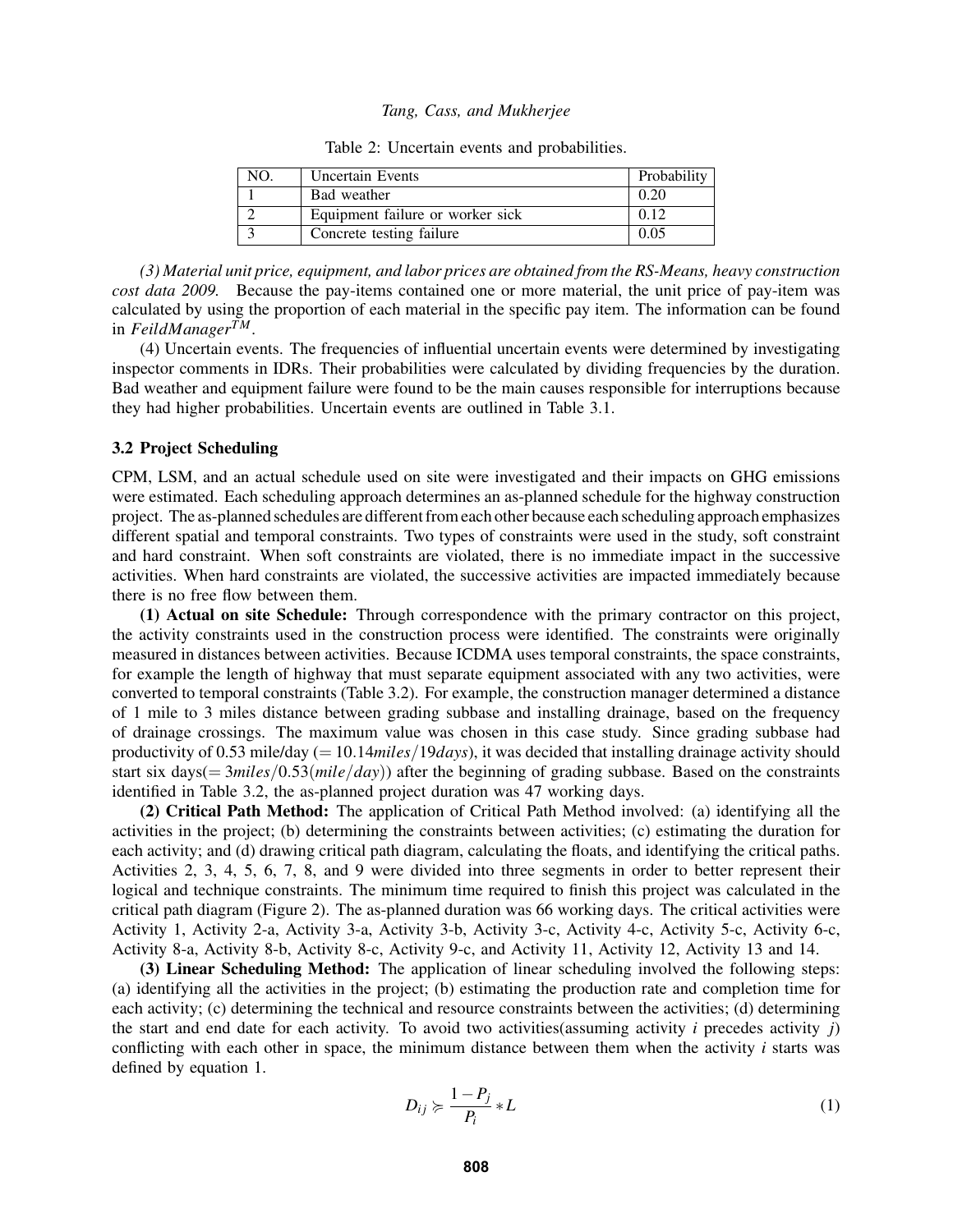| NO. | <b>Uncertain Events</b>          | Probability |
|-----|----------------------------------|-------------|
|     | Bad weather                      | 0.20        |
|     | Equipment failure or worker sick | 0.12        |
|     | Concrete testing failure         | 0.05        |

Table 2: Uncertain events and probabilities.

*(3) Material unit price, equipment, and labor prices are obtained from the RS-Means, heavy construction cost data 2009.* Because the pay-items contained one or more material, the unit price of pay-item was calculated by using the proportion of each material in the specific pay item. The information can be found in *FeildManagerTM*.

(4) Uncertain events. The frequencies of influential uncertain events were determined by investigating inspector comments in IDRs. Their probabilities were calculated by dividing frequencies by the duration. Bad weather and equipment failure were found to be the main causes responsible for interruptions because they had higher probabilities. Uncertain events are outlined in Table 3.1.

#### 3.2 Project Scheduling

CPM, LSM, and an actual schedule used on site were investigated and their impacts on GHG emissions were estimated. Each scheduling approach determines an as-planned schedule for the highway construction project. The as-planned schedules are different from each other because each scheduling approach emphasizes different spatial and temporal constraints. Two types of constraints were used in the study, soft constraint and hard constraint. When soft constraints are violated, there is no immediate impact in the successive activities. When hard constraints are violated, the successive activities are impacted immediately because there is no free flow between them.

(1) Actual on site Schedule: Through correspondence with the primary contractor on this project, the activity constraints used in the construction process were identified. The constraints were originally measured in distances between activities. Because ICDMA uses temporal constraints, the space constraints, for example the length of highway that must separate equipment associated with any two activities, were converted to temporal constraints (Table 3.2). For example, the construction manager determined a distance of 1 mile to 3 miles distance between grading subbase and installing drainage, based on the frequency of drainage crossings. The maximum value was chosen in this case study. Since grading subbase had productivity of 0.53 mile/day (= 10.14*miles*/19*days*), it was decided that installing drainage activity should start six days(= 3*miles*/0.53(*mile*/*day*)) after the beginning of grading subbase. Based on the constraints identified in Table 3.2, the as-planned project duration was 47 working days.

(2) Critical Path Method: The application of Critical Path Method involved: (a) identifying all the activities in the project; (b) determining the constraints between activities; (c) estimating the duration for each activity; and (d) drawing critical path diagram, calculating the floats, and identifying the critical paths. Activities 2, 3, 4, 5, 6, 7, 8, and 9 were divided into three segments in order to better represent their logical and technique constraints. The minimum time required to finish this project was calculated in the critical path diagram (Figure 2). The as-planned duration was 66 working days. The critical activities were Activity 1, Activity 2-a, Activity 3-a, Activity 3-b, Activity 3-c, Activity 4-c, Activity 5-c, Activity 6-c, Activity 8-a, Activity 8-b, Activity 8-c, Activity 9-c, and Activity 11, Activity 12, Activity 13 and 14.

(3) Linear Scheduling Method: The application of linear scheduling involved the following steps: (a) identifying all the activities in the project; (b) estimating the production rate and completion time for each activity; (c) determining the technical and resource constraints between the activities; (d) determining the start and end date for each activity. To avoid two activities(assuming activity *i* precedes activity *j*) conflicting with each other in space, the minimum distance between them when the activity *i* starts was defined by equation 1.

$$
D_{ij} \succcurlyeq \frac{1 - P_j}{P_i} * L \tag{1}
$$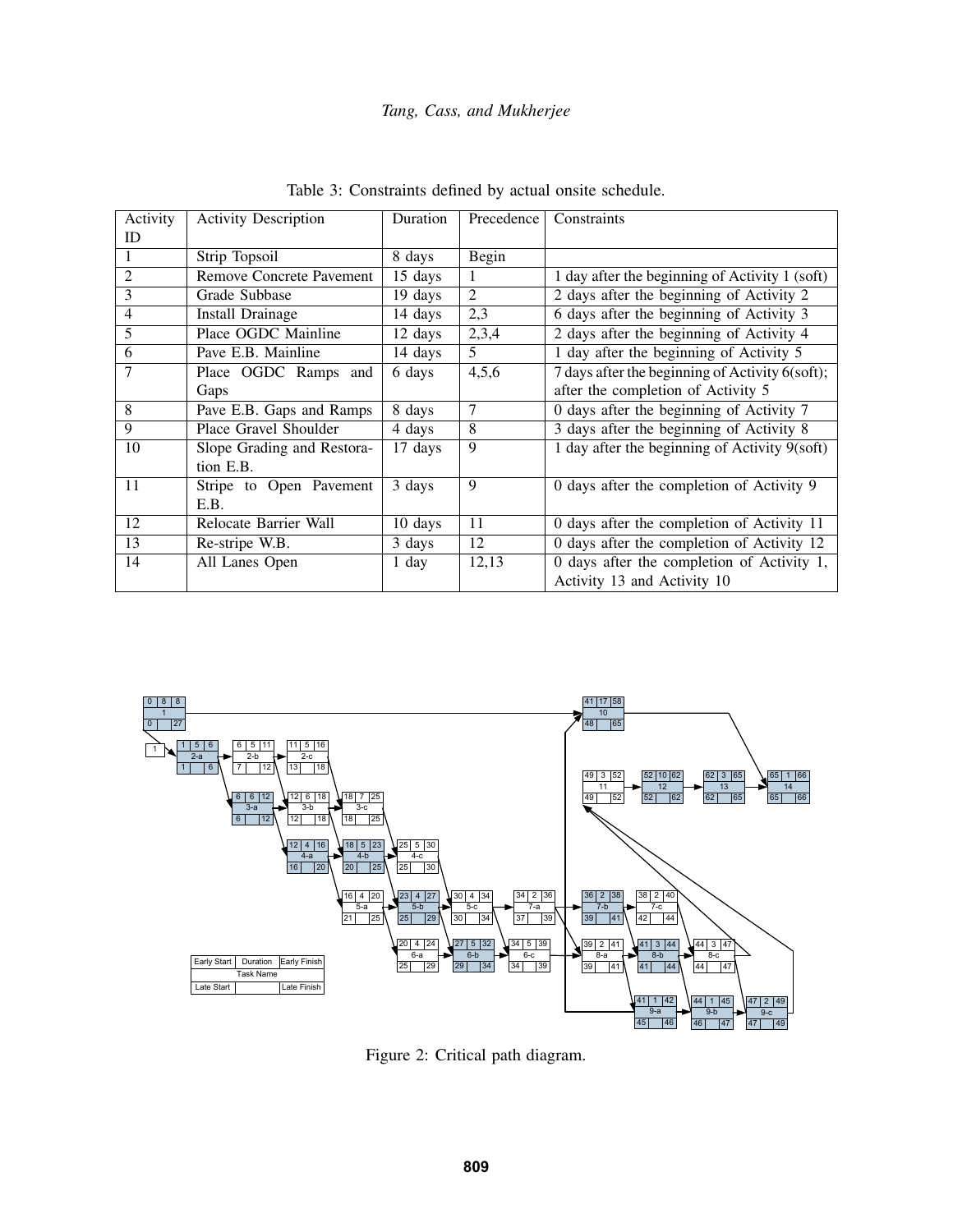| Activity | <b>Activity Description</b>     | Duration | Precedence     | Constraints                                     |
|----------|---------------------------------|----------|----------------|-------------------------------------------------|
| ID       |                                 |          |                |                                                 |
|          | Strip Topsoil                   | 8 days   | Begin          |                                                 |
| 2        | <b>Remove Concrete Pavement</b> | 15 days  | 1              | 1 day after the beginning of Activity 1 (soft)  |
| 3        | Grade Subbase                   | 19 days  | $\overline{2}$ | 2 days after the beginning of Activity 2        |
| 4        | Install Drainage                | 14 days  | 2,3            | 6 days after the beginning of Activity 3        |
| 5        | Place OGDC Mainline             | 12 days  | 2,3,4          | 2 days after the beginning of Activity 4        |
| 6        | Pave E.B. Mainline              | 14 days  | 5              | 1 day after the beginning of Activity 5         |
| 7        | Place OGDC Ramps and            | 6 days   | 4,5,6          | 7 days after the beginning of Activity 6(soft); |
|          | Gaps                            |          |                | after the completion of Activity 5              |
| 8        | Pave E.B. Gaps and Ramps        | 8 days   | 7              | 0 days after the beginning of Activity 7        |
| 9        | Place Gravel Shoulder           | 4 days   | 8              | 3 days after the beginning of Activity 8        |
| 10       | Slope Grading and Restora-      | 17 days  | 9              | 1 day after the beginning of Activity 9(soft)   |
|          | tion E.B.                       |          |                |                                                 |
| 11       | Stripe to Open Pavement         | 3 days   | 9              | 0 days after the completion of Activity 9       |
|          | E.B.                            |          |                |                                                 |
| 12       | Relocate Barrier Wall           | 10 days  | 11             | 0 days after the completion of Activity 11      |
| 13       | Re-stripe W.B.                  | 3 days   | 12             | 0 days after the completion of Activity 12      |
| 14       | All Lanes Open                  | 1 day    | 12,13          | 0 days after the completion of Activity 1,      |
|          |                                 |          |                | Activity 13 and Activity 10                     |

Table 3: Constraints defined by actual onsite schedule.



Figure 2: Critical path diagram.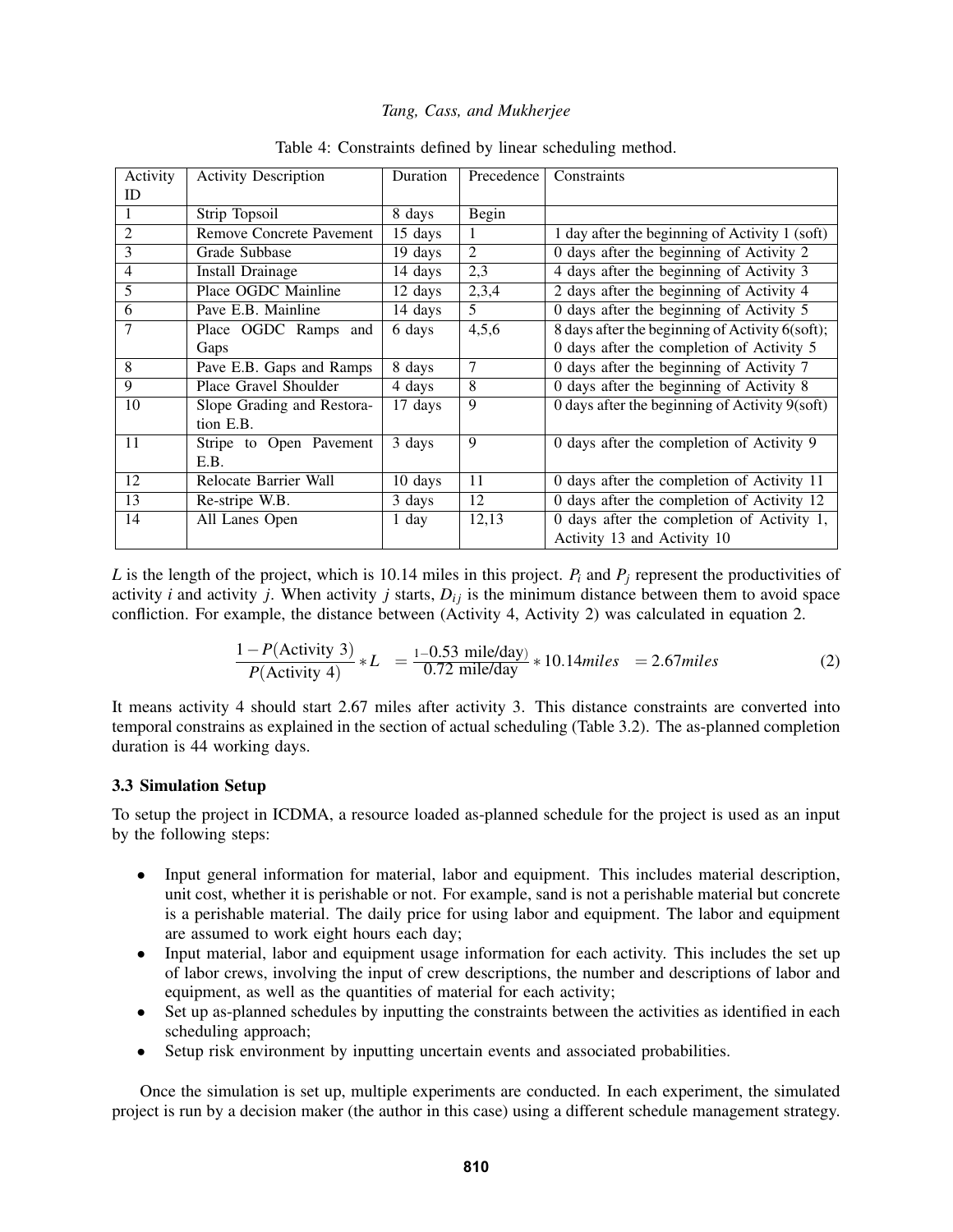| Activity                 | <b>Activity Description</b>     | Duration | Precedence | Constraints                                      |
|--------------------------|---------------------------------|----------|------------|--------------------------------------------------|
| ID                       |                                 |          |            |                                                  |
| 1                        | Strip Topsoil                   | 8 days   | Begin      |                                                  |
| $\overline{2}$           | <b>Remove Concrete Pavement</b> | 15 days  |            | 1 day after the beginning of Activity 1 (soft)   |
| 3                        | Grade Subbase                   | 19 days  | 2          | 0 days after the beginning of Activity 2         |
| $\overline{\mathcal{A}}$ | Install Drainage                | 14 days  | 2,3        | 4 days after the beginning of Activity 3         |
| 5                        | Place OGDC Mainline             | 12 days  | 2,3,4      | 2 days after the beginning of Activity 4         |
| 6                        | Pave E.B. Mainline              | 14 days  | 5          | 0 days after the beginning of Activity $5$       |
| 7                        | Place OGDC Ramps and            | 6 days   | 4,5,6      | 8 days after the beginning of Activity 6(soft);  |
|                          | Gaps                            |          |            | 0 days after the completion of Activity 5        |
| 8                        | Pave E.B. Gaps and Ramps        | 8 days   | 7          | 0 days after the beginning of Activity 7         |
| 9                        | Place Gravel Shoulder           | 4 days   | 8          | 0 days after the beginning of Activity 8         |
| 10                       | Slope Grading and Restora-      | 17 days  | 9          | 0 days after the beginning of Activity $9(soft)$ |
|                          | tion E.B.                       |          |            |                                                  |
| 11                       | Stripe to Open Pavement         | 3 days   | 9          | 0 days after the completion of Activity 9        |
|                          | E.B.                            |          |            |                                                  |
| 12                       | Relocate Barrier Wall           | 10 days  | 11         | 0 days after the completion of Activity 11       |
| 13                       | Re-stripe W.B.                  | 3 days   | 12         | 0 days after the completion of Activity 12       |
| 14                       | All Lanes Open                  | 1 day    | 12,13      | 0 days after the completion of Activity 1,       |
|                          |                                 |          |            | Activity 13 and Activity 10                      |

Table 4: Constraints defined by linear scheduling method.

*L* is the length of the project, which is 10.14 miles in this project. *P<sup>i</sup>* and *P<sup>j</sup>* represent the productivities of activity *i* and activity *j*. When activity *j* starts,  $D_{ij}$  is the minimum distance between them to avoid space confliction. For example, the distance between (Activity 4, Activity 2) was calculated in equation 2.

$$
\frac{1 - P(\text{Activity 3})}{P(\text{Activity 4})} * L = \frac{1 - 0.53 \text{ mile/day}}{0.72 \text{ mile/day}} * 10.14 \text{ miles} = 2.67 \text{ miles}
$$
 (2)

It means activity 4 should start 2.67 miles after activity 3. This distance constraints are converted into temporal constrains as explained in the section of actual scheduling (Table 3.2). The as-planned completion duration is 44 working days.

#### 3.3 Simulation Setup

To setup the project in ICDMA, a resource loaded as-planned schedule for the project is used as an input by the following steps:

- Input general information for material, labor and equipment. This includes material description, unit cost, whether it is perishable or not. For example, sand is not a perishable material but concrete is a perishable material. The daily price for using labor and equipment. The labor and equipment are assumed to work eight hours each day;
- Input material, labor and equipment usage information for each activity. This includes the set up of labor crews, involving the input of crew descriptions, the number and descriptions of labor and equipment, as well as the quantities of material for each activity;
- Set up as-planned schedules by inputting the constraints between the activities as identified in each scheduling approach;
- Setup risk environment by inputting uncertain events and associated probabilities.

Once the simulation is set up, multiple experiments are conducted. In each experiment, the simulated project is run by a decision maker (the author in this case) using a different schedule management strategy.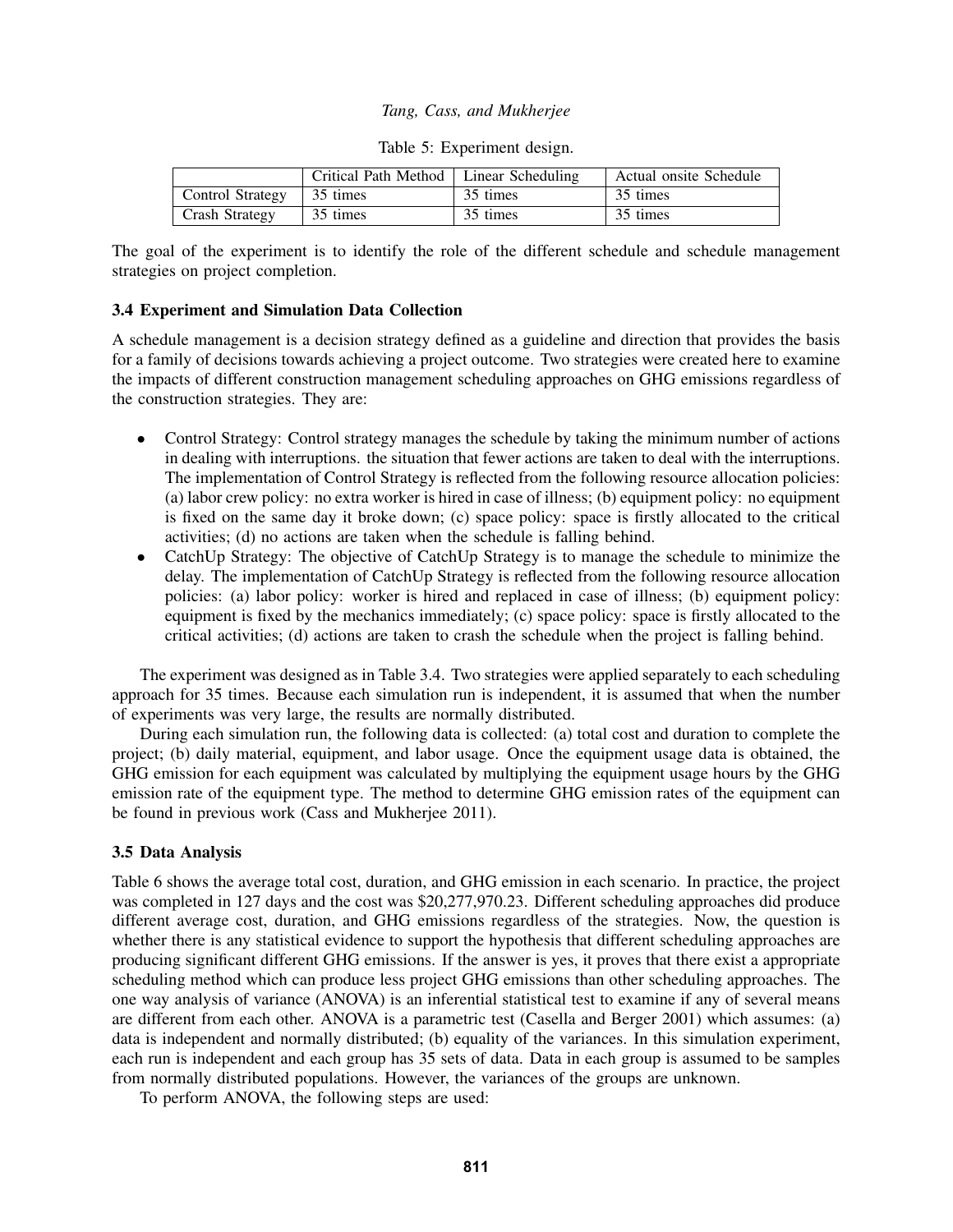|                             | Critical Path Method   Linear Scheduling |          | Actual onsite Schedule |
|-----------------------------|------------------------------------------|----------|------------------------|
| Control Strategy   35 times |                                          | 35 times | 35 times               |
| Crash Strategy              | 35 times                                 | 35 times | 35 times               |

|  | Table 5: Experiment design. |  |
|--|-----------------------------|--|
|--|-----------------------------|--|

The goal of the experiment is to identify the role of the different schedule and schedule management strategies on project completion.

#### 3.4 Experiment and Simulation Data Collection

A schedule management is a decision strategy defined as a guideline and direction that provides the basis for a family of decisions towards achieving a project outcome. Two strategies were created here to examine the impacts of different construction management scheduling approaches on GHG emissions regardless of the construction strategies. They are:

- Control Strategy: Control strategy manages the schedule by taking the minimum number of actions in dealing with interruptions. the situation that fewer actions are taken to deal with the interruptions. The implementation of Control Strategy is reflected from the following resource allocation policies: (a) labor crew policy: no extra worker is hired in case of illness; (b) equipment policy: no equipment is fixed on the same day it broke down; (c) space policy: space is firstly allocated to the critical activities; (d) no actions are taken when the schedule is falling behind.
- CatchUp Strategy: The objective of CatchUp Strategy is to manage the schedule to minimize the delay. The implementation of CatchUp Strategy is reflected from the following resource allocation policies: (a) labor policy: worker is hired and replaced in case of illness; (b) equipment policy: equipment is fixed by the mechanics immediately; (c) space policy: space is firstly allocated to the critical activities; (d) actions are taken to crash the schedule when the project is falling behind.

The experiment was designed as in Table 3.4. Two strategies were applied separately to each scheduling approach for 35 times. Because each simulation run is independent, it is assumed that when the number of experiments was very large, the results are normally distributed.

During each simulation run, the following data is collected: (a) total cost and duration to complete the project; (b) daily material, equipment, and labor usage. Once the equipment usage data is obtained, the GHG emission for each equipment was calculated by multiplying the equipment usage hours by the GHG emission rate of the equipment type. The method to determine GHG emission rates of the equipment can be found in previous work (Cass and Mukherjee 2011).

# 3.5 Data Analysis

Table 6 shows the average total cost, duration, and GHG emission in each scenario. In practice, the project was completed in 127 days and the cost was \$20,277,970.23. Different scheduling approaches did produce different average cost, duration, and GHG emissions regardless of the strategies. Now, the question is whether there is any statistical evidence to support the hypothesis that different scheduling approaches are producing significant different GHG emissions. If the answer is yes, it proves that there exist a appropriate scheduling method which can produce less project GHG emissions than other scheduling approaches. The one way analysis of variance (ANOVA) is an inferential statistical test to examine if any of several means are different from each other. ANOVA is a parametric test (Casella and Berger 2001) which assumes: (a) data is independent and normally distributed; (b) equality of the variances. In this simulation experiment, each run is independent and each group has 35 sets of data. Data in each group is assumed to be samples from normally distributed populations. However, the variances of the groups are unknown.

To perform ANOVA, the following steps are used: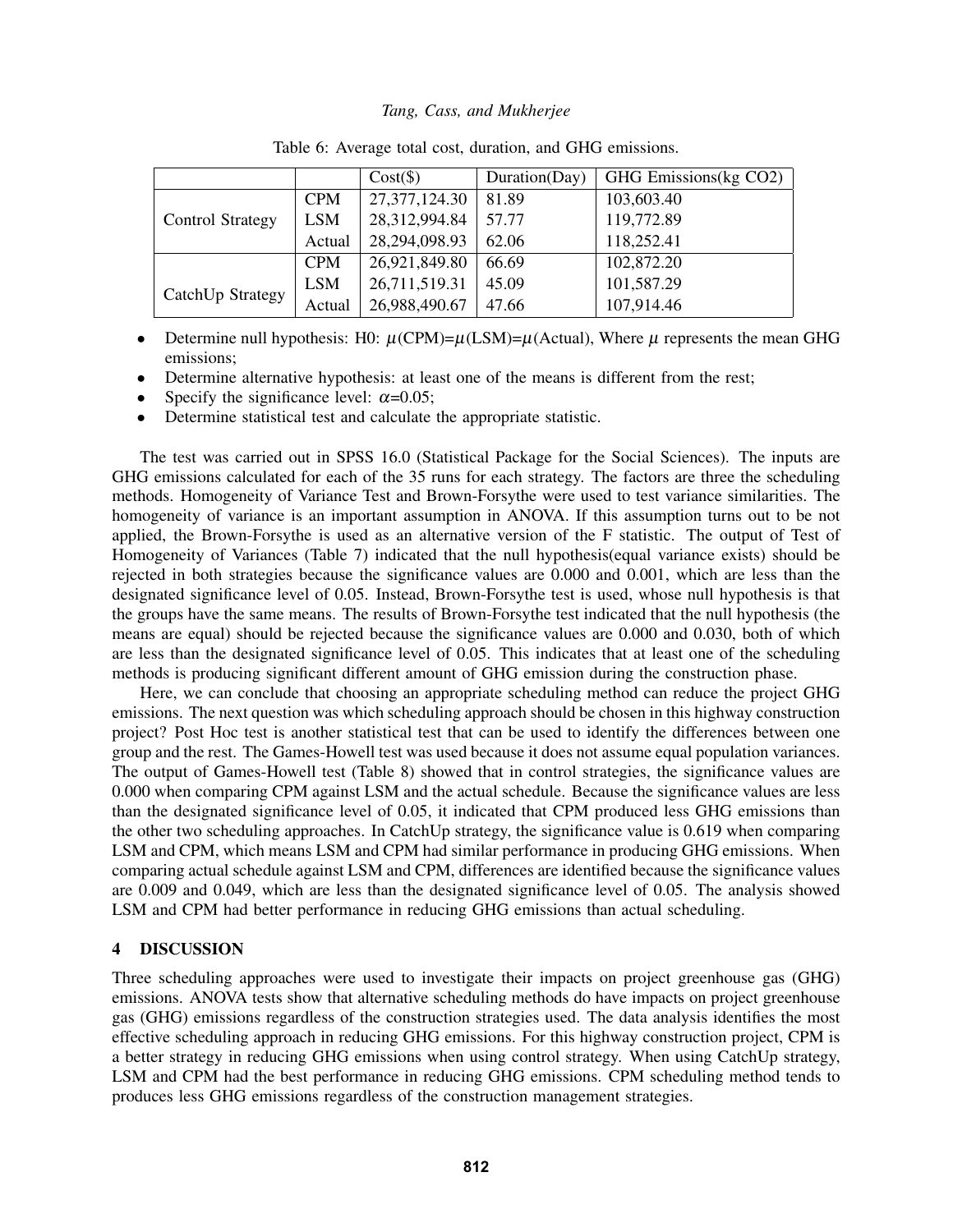|                         |            | $Cost(\$))$      | Duration(Day) | GHG Emissions(kg CO2) |
|-------------------------|------------|------------------|---------------|-----------------------|
|                         | <b>CPM</b> | 27, 377, 124. 30 | 81.89         | 103,603.40            |
| <b>Control Strategy</b> | <b>LSM</b> | 28,312,994.84    | 57.77         | 119,772.89            |
|                         | Actual     | 28,294,098.93    | 62.06         | 118,252.41            |
|                         | <b>CPM</b> | 26,921,849.80    | 66.69         | 102,872.20            |
|                         | <b>LSM</b> | 26,711,519.31    | 45.09         | 101,587.29            |
| CatchUp Strategy        | Actual     | 26,988,490.67    | 47.66         | 107,914.46            |

|  |  |  |  |  |  |  | Table 6: Average total cost, duration, and GHG emissions. |
|--|--|--|--|--|--|--|-----------------------------------------------------------|
|--|--|--|--|--|--|--|-----------------------------------------------------------|

• Determine null hypothesis: H0:  $\mu$ (CPM)= $\mu$ (LSM)= $\mu$ (Actual), Where  $\mu$  represents the mean GHG emissions;

• Determine alternative hypothesis: at least one of the means is different from the rest;

- Specify the significance level:  $\alpha$ =0.05;
- Determine statistical test and calculate the appropriate statistic.

The test was carried out in SPSS 16.0 (Statistical Package for the Social Sciences). The inputs are GHG emissions calculated for each of the 35 runs for each strategy. The factors are three the scheduling methods. Homogeneity of Variance Test and Brown-Forsythe were used to test variance similarities. The homogeneity of variance is an important assumption in ANOVA. If this assumption turns out to be not applied, the Brown-Forsythe is used as an alternative version of the F statistic. The output of Test of Homogeneity of Variances (Table 7) indicated that the null hypothesis(equal variance exists) should be rejected in both strategies because the significance values are 0.000 and 0.001, which are less than the designated significance level of 0.05. Instead, Brown-Forsythe test is used, whose null hypothesis is that the groups have the same means. The results of Brown-Forsythe test indicated that the null hypothesis (the means are equal) should be rejected because the significance values are 0.000 and 0.030, both of which are less than the designated significance level of 0.05. This indicates that at least one of the scheduling methods is producing significant different amount of GHG emission during the construction phase.

Here, we can conclude that choosing an appropriate scheduling method can reduce the project GHG emissions. The next question was which scheduling approach should be chosen in this highway construction project? Post Hoc test is another statistical test that can be used to identify the differences between one group and the rest. The Games-Howell test was used because it does not assume equal population variances. The output of Games-Howell test (Table 8) showed that in control strategies, the significance values are 0.000 when comparing CPM against LSM and the actual schedule. Because the significance values are less than the designated significance level of 0.05, it indicated that CPM produced less GHG emissions than the other two scheduling approaches. In CatchUp strategy, the significance value is 0.619 when comparing LSM and CPM, which means LSM and CPM had similar performance in producing GHG emissions. When comparing actual schedule against LSM and CPM, differences are identified because the significance values are 0.009 and 0.049, which are less than the designated significance level of 0.05. The analysis showed LSM and CPM had better performance in reducing GHG emissions than actual scheduling.

# 4 DISCUSSION

Three scheduling approaches were used to investigate their impacts on project greenhouse gas (GHG) emissions. ANOVA tests show that alternative scheduling methods do have impacts on project greenhouse gas (GHG) emissions regardless of the construction strategies used. The data analysis identifies the most effective scheduling approach in reducing GHG emissions. For this highway construction project, CPM is a better strategy in reducing GHG emissions when using control strategy. When using CatchUp strategy, LSM and CPM had the best performance in reducing GHG emissions. CPM scheduling method tends to produces less GHG emissions regardless of the construction management strategies.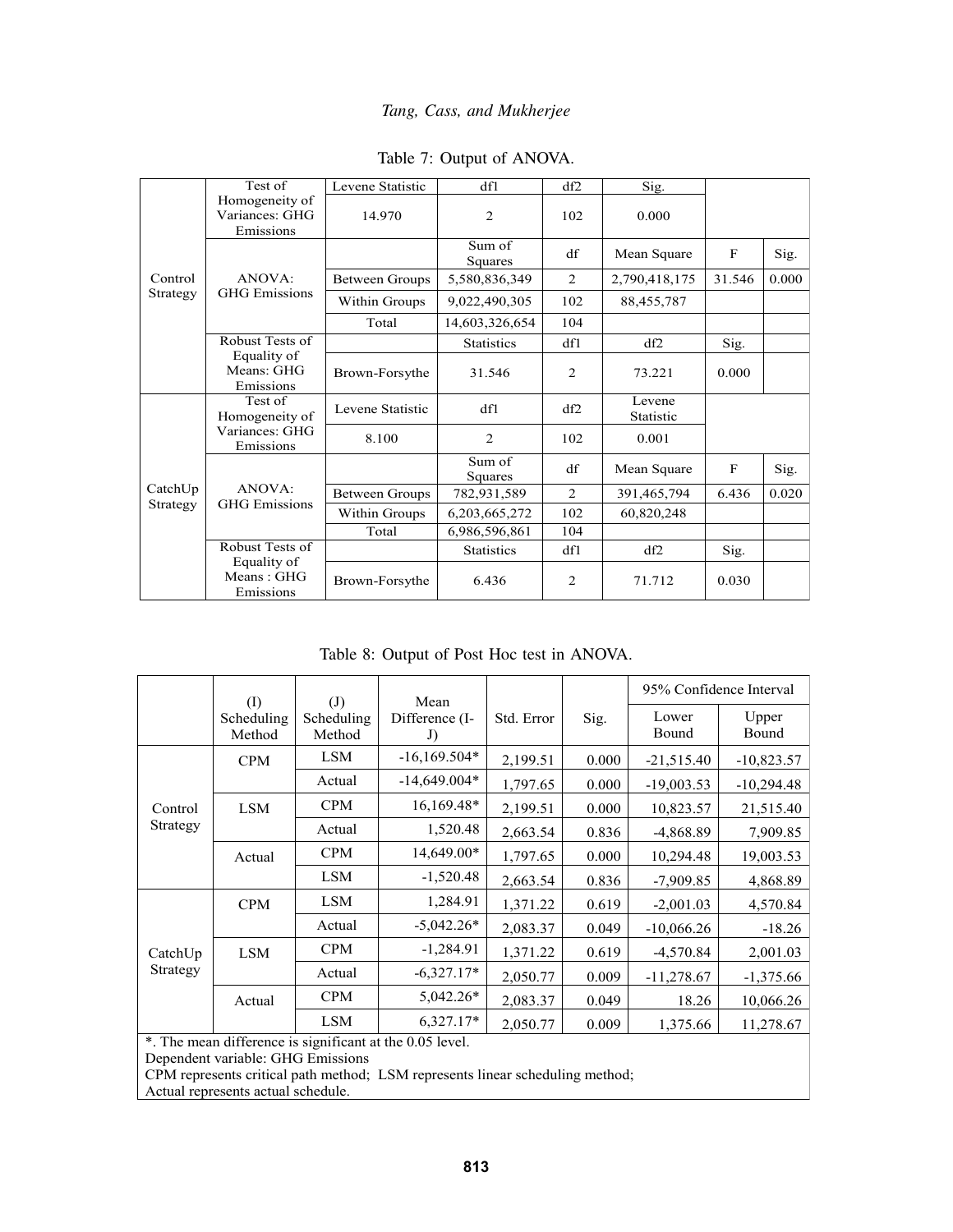|                  | Test of                                       | Levene Statistic      | df1               | df2 | Sig.                |        |       |
|------------------|-----------------------------------------------|-----------------------|-------------------|-----|---------------------|--------|-------|
|                  | Homogeneity of<br>Variances: GHG<br>Emissions | 14.970                | 2                 | 102 | 0.000               |        |       |
|                  |                                               |                       | Sum of<br>Squares | df  | Mean Square         | F      | Sig.  |
| Control          | ANOVA:                                        | <b>Between Groups</b> | 5,580,836,349     | 2   | 2,790,418,175       | 31.546 | 0.000 |
| Strategy         | <b>GHG</b> Emissions                          | Within Groups         | 9,022,490,305     | 102 | 88,455,787          |        |       |
|                  |                                               | Total                 | 14,603,326,654    | 104 |                     |        |       |
|                  | Robust Tests of                               |                       | <b>Statistics</b> | df1 | df2                 | Sig.   |       |
|                  | Equality of<br>Means: GHG<br>Emissions        | Brown-Forsythe        | 31.546            | 2   | 73.221              | 0.000  |       |
|                  | Test of<br>Homogeneity of                     | Levene Statistic      | df1               | df2 | Levene<br>Statistic |        |       |
|                  | Variances: GHG<br>Emissions                   | 8.100                 | 2                 | 102 | 0.001               |        |       |
|                  |                                               |                       | Sum of<br>Squares | df  | Mean Square         | F      | Sig.  |
| $\text{CatchUp}$ | ANOVA:                                        | <b>Between Groups</b> | 782,931,589       | 2   | 391,465,794         | 6.436  | 0.020 |
| Strategy         | <b>GHG</b> Emissions                          | Within Groups         | 6,203,665,272     | 102 | 60,820,248          |        |       |
|                  |                                               | Total                 | 6,986,596,861     | 104 |                     |        |       |
|                  | Robust Tests of<br>Equality of                |                       | <b>Statistics</b> | df1 | df2                 | Sig.   |       |
|                  | Means: GHG<br>Emissions                       | Brown-Forsythe        | 6.436             | 2   | 71.712              | 0.030  |       |

# Table 7: Output of ANOVA.

Table 8: Output of Post Hoc test in ANOVA.

|                              | $\left( \mathrm{I}\right)$ | (J)                  | Mean                 |            |       |                | 95% Confidence Interval |
|------------------------------|----------------------------|----------------------|----------------------|------------|-------|----------------|-------------------------|
|                              | Scheduling<br>Method       | Scheduling<br>Method | Difference (I-<br>J) | Std. Error | Sig.  | Lower<br>Bound | Upper<br>Bound          |
|                              | <b>CPM</b>                 | <b>LSM</b>           | $-16,169.504*$       | 2,199.51   | 0.000 | $-21,515.40$   | $-10,823.57$            |
|                              |                            | Actual               | $-14,649.004*$       | 1,797.65   | 0.000 | $-19,003.53$   | $-10,294.48$            |
| Control                      | <b>LSM</b>                 | <b>CPM</b>           | 16,169.48*           | 2,199.51   | 0.000 | 10,823.57      | 21,515.40               |
| Strategy                     |                            | Actual               | 1,520.48             | 2,663.54   | 0.836 | -4,868.89      | 7,909.85                |
|                              | Actual                     | <b>CPM</b>           | 14,649.00*           | 1,797.65   | 0.000 | 10,294.48      | 19,003.53               |
|                              |                            | <b>LSM</b>           | $-1,520.48$          | 2,663.54   | 0.836 | $-7,909.85$    | 4,868.89                |
|                              | <b>CPM</b>                 | <b>LSM</b>           | 1,284.91             | 1,371.22   | 0.619 | $-2,001.03$    | 4,570.84                |
| $\text{CatchUp}$<br>Strategy |                            | Actual               | $-5,042.26*$         | 2,083.37   | 0.049 | $-10,066.26$   | $-18.26$                |
|                              | <b>LSM</b>                 | <b>CPM</b>           | $-1,284.91$          | 1,371.22   | 0.619 | $-4,570.84$    | 2,001.03                |
|                              |                            | Actual               | $-6,327.17*$         | 2,050.77   | 0.009 | $-11,278.67$   | $-1,375.66$             |
|                              | Actual                     | <b>CPM</b>           | $5,042.26*$          | 2,083.37   | 0.049 | 18.26          | 10,066.26               |
|                              |                            | <b>LSM</b>           | $6,327.17*$          | 2,050.77   | 0.009 | 1,375.66       | 11,278.67               |

\*. The mean difference is significant at the 0.05 level.

Dependent variable: GHG Emissions

CPM represents critical path method; LSM represents linear scheduling method;

Actual represents actual schedule.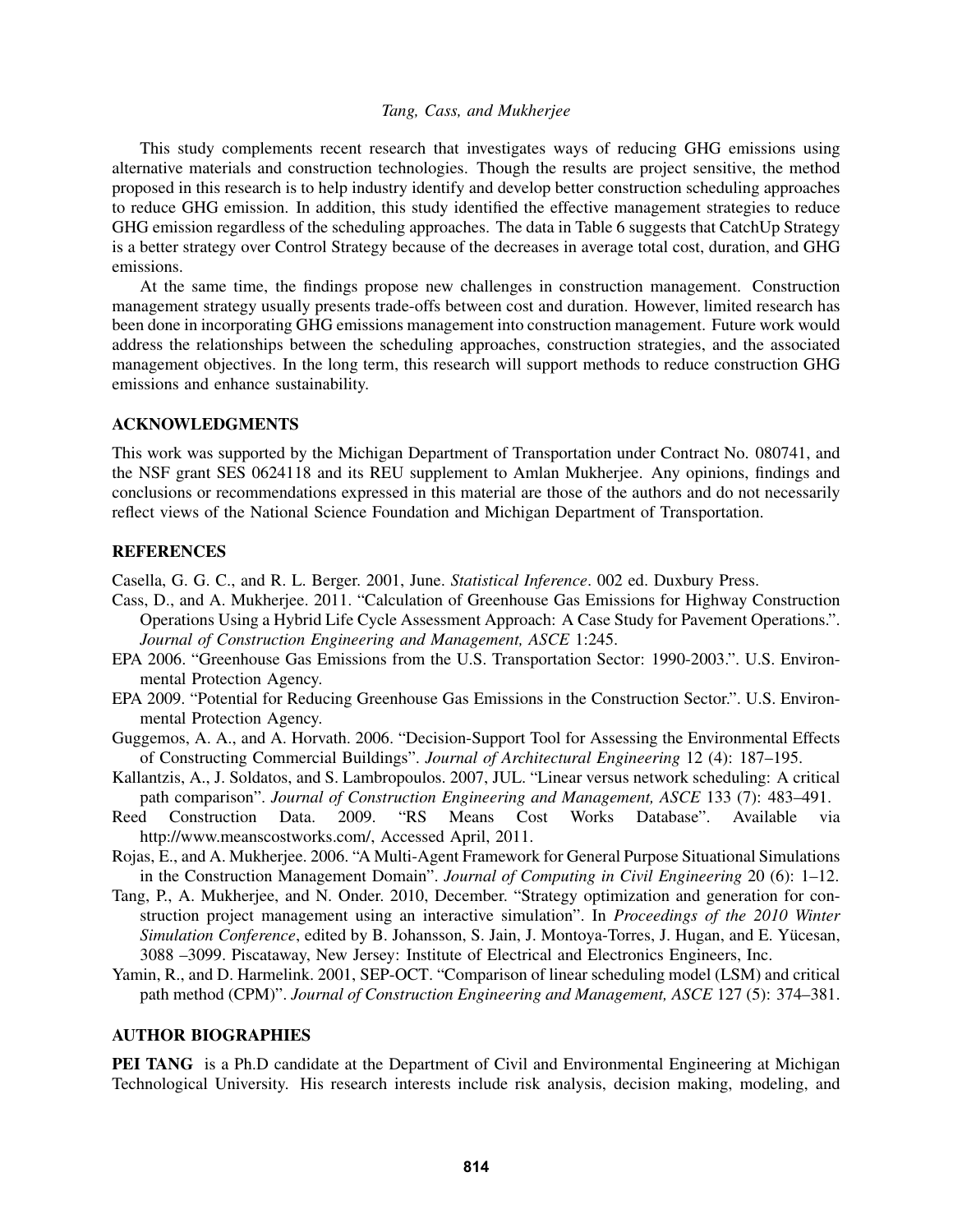This study complements recent research that investigates ways of reducing GHG emissions using alternative materials and construction technologies. Though the results are project sensitive, the method proposed in this research is to help industry identify and develop better construction scheduling approaches to reduce GHG emission. In addition, this study identified the effective management strategies to reduce GHG emission regardless of the scheduling approaches. The data in Table 6 suggests that CatchUp Strategy is a better strategy over Control Strategy because of the decreases in average total cost, duration, and GHG emissions.

At the same time, the findings propose new challenges in construction management. Construction management strategy usually presents trade-offs between cost and duration. However, limited research has been done in incorporating GHG emissions management into construction management. Future work would address the relationships between the scheduling approaches, construction strategies, and the associated management objectives. In the long term, this research will support methods to reduce construction GHG emissions and enhance sustainability.

#### ACKNOWLEDGMENTS

This work was supported by the Michigan Department of Transportation under Contract No. 080741, and the NSF grant SES 0624118 and its REU supplement to Amlan Mukherjee. Any opinions, findings and conclusions or recommendations expressed in this material are those of the authors and do not necessarily reflect views of the National Science Foundation and Michigan Department of Transportation.

# **REFERENCES**

Casella, G. G. C., and R. L. Berger. 2001, June. *Statistical Inference*. 002 ed. Duxbury Press.

- Cass, D., and A. Mukherjee. 2011. "Calculation of Greenhouse Gas Emissions for Highway Construction Operations Using a Hybrid Life Cycle Assessment Approach: A Case Study for Pavement Operations.". *Journal of Construction Engineering and Management, ASCE* 1:245.
- EPA 2006. "Greenhouse Gas Emissions from the U.S. Transportation Sector: 1990-2003.". U.S. Environmental Protection Agency.
- EPA 2009. "Potential for Reducing Greenhouse Gas Emissions in the Construction Sector.". U.S. Environmental Protection Agency.
- Guggemos, A. A., and A. Horvath. 2006. "Decision-Support Tool for Assessing the Environmental Effects of Constructing Commercial Buildings". *Journal of Architectural Engineering* 12 (4): 187–195.
- Kallantzis, A., J. Soldatos, and S. Lambropoulos. 2007, JUL. "Linear versus network scheduling: A critical path comparison". *Journal of Construction Engineering and Management, ASCE* 133 (7): 483–491.
- Reed Construction Data. 2009. "RS Means Cost Works Database". Available via http://www.meanscostworks.com/, Accessed April, 2011.
- Rojas, E., and A. Mukherjee. 2006. "A Multi-Agent Framework for General Purpose Situational Simulations in the Construction Management Domain". *Journal of Computing in Civil Engineering* 20 (6): 1–12.
- Tang, P., A. Mukherjee, and N. Onder. 2010, December. "Strategy optimization and generation for construction project management using an interactive simulation". In *Proceedings of the 2010 Winter Simulation Conference*, edited by B. Johansson, S. Jain, J. Montoya-Torres, J. Hugan, and E. Yucesan, ¨ 3088 –3099. Piscataway, New Jersey: Institute of Electrical and Electronics Engineers, Inc.
- Yamin, R., and D. Harmelink. 2001, SEP-OCT. "Comparison of linear scheduling model (LSM) and critical path method (CPM)". *Journal of Construction Engineering and Management, ASCE* 127 (5): 374–381.

# AUTHOR BIOGRAPHIES

**PEI TANG** is a Ph.D candidate at the Department of Civil and Environmental Engineering at Michigan Technological University. His research interests include risk analysis, decision making, modeling, and